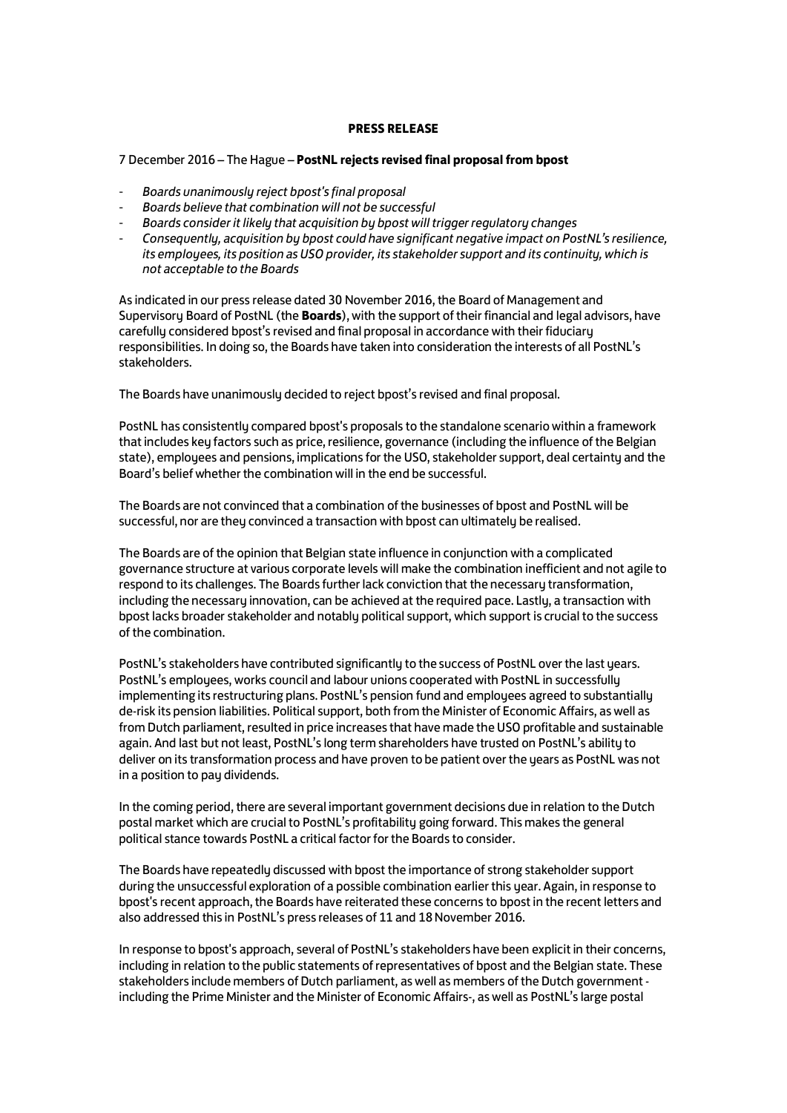## **PRESS RELEASE**

# 7 December 2016 – The Hague – **PostNL rejects revised final proposal from bpost**

- *Boards unanimously reject bpost's final proposal*
- *Boards believe that combination will not be successful*
- *Boards consider it likely that acquisition by bpost will trigger regulatory changes*
- *Consequently, acquisition by bpost could have significant negative impact on PostNL's resilience, its employees, its position as USO provider, its stakeholder support and its continuity, which is not acceptable to the Boards*

As indicated in our press release dated 30 November 2016, the Board of Management and Supervisory Board of PostNL (the **Boards**), with the support of their financial and legal advisors, have carefully considered bpost's revised and final proposal in accordance with their fiduciary responsibilities. In doing so, the Boards have taken into consideration the interests of all PostNL's stakeholders.

The Boards have unanimously decided to reject bpost's revised and final proposal.

PostNL has consistently compared bpost's proposals to the standalone scenario within a framework that includes key factors such as price, resilience, governance (including the influence of the Belgian state), employees and pensions, implications for the USO, stakeholder support, deal certainty and the Board's belief whether the combination will in the end be successful.

The Boards are not convinced that a combination of the businesses of bpost and PostNL will be successful, nor are they convinced a transaction with bpost can ultimately be realised.

The Boards are of the opinion that Belgian state influence in conjunction with a complicated governance structure at various corporate levels will make the combination inefficient and not agile to respond to its challenges. The Boards further lack conviction that the necessary transformation, including the necessary innovation, can be achieved at the required pace. Lastly, a transaction with bpost lacks broader stakeholder and notably political support, which support is crucial to the success of the combination.

PostNL's stakeholders have contributed significantly to the success of PostNL over the last years. PostNL's employees, works council and labour unions cooperated with PostNL in successfully implementing its restructuring plans. PostNL's pension fund and employees agreed to substantially de-risk its pension liabilities. Political support, both from the Minister of Economic Affairs, as well as from Dutch parliament, resulted in price increases that have made the USO profitable and sustainable again. And last but not least, PostNL's long term shareholders have trusted on PostNL's ability to deliver on its transformation process and have proven to be patient over the years as PostNL was not in a position to pay dividends.

In the coming period, there are several important government decisions due in relation to the Dutch postal market which are crucial to PostNL's profitability going forward. This makes the general political stance towards PostNL a critical factor for the Boards to consider.

The Boards have repeatedly discussed with bpost the importance of strong stakeholder support during the unsuccessful exploration of a possible combination earlier this year. Again, in response to bpost's recent approach, the Boards have reiterated these concerns to bpost in the recent letters and also addressed this in PostNL's press releases of 11 and 18 November 2016.

In response to bpost's approach, several of PostNL's stakeholders have been explicit in their concerns, including in relation to the public statements of representatives of bpost and the Belgian state. These stakeholders include members of Dutch parliament, as well as members of the Dutch government including the Prime Minister and the Minister of Economic Affairs-, as well as PostNL's large postal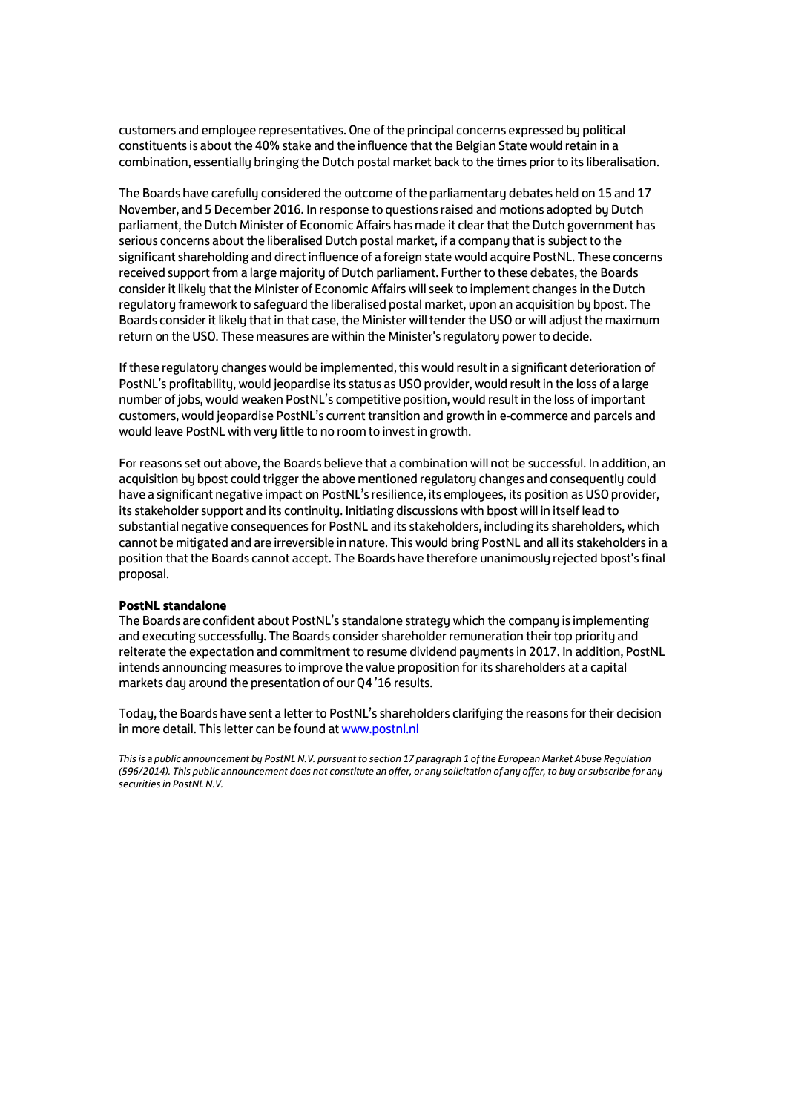customers and employee representatives. One of the principal concerns expressed by political constituents is about the 40% stake and the influence that the Belgian State would retain in a combination, essentially bringing the Dutch postal market back to the times prior to its liberalisation.

The Boards have carefully considered the outcome of the parliamentary debates held on 15 and 17 November, and 5 December 2016. In response to questions raised and motions adopted by Dutch parliament, the Dutch Minister of Economic Affairs has made it clear that the Dutch government has serious concerns about the liberalised Dutch postal market, if a company that is subject to the significant shareholding and direct influence of a foreign state would acquire PostNL. These concerns received support from a large majority of Dutch parliament. Further to these debates, the Boards consider it likely that the Minister of Economic Affairs will seek to implement changes in the Dutch regulatory framework to safeguard the liberalised postal market, upon an acquisition by bpost. The Boards consider it likely that in that case, the Minister will tender the USO or will adjust the maximum return on the USO. These measures are within the Minister's regulatory power to decide.

If these regulatory changes would be implemented, this would result in a significant deterioration of PostNL's profitability, would jeopardise its status as USO provider, would result in the loss of a large number of jobs, would weaken PostNL's competitive position, would result in the loss of important customers, would jeopardise PostNL's current transition and growth in e-commerce and parcels and would leave PostNL with very little to no room to invest in growth.

For reasons set out above, the Boards believe that a combination will not be successful. In addition, an acquisition by bpost could trigger the above mentioned regulatory changes and consequently could have a significant negative impact on PostNL's resilience, its employees, its position as USO provider, its stakeholder support and its continuity. Initiating discussions with bpost will in itself lead to substantial negative consequences for PostNL and its stakeholders, including its shareholders, which cannot be mitigated and are irreversible in nature. This would bring PostNL and all its stakeholders in a position that the Boards cannot accept. The Boards have therefore unanimously rejected bpost's final proposal.

## **PostNL standalone**

The Boards are confident about PostNL's standalone strategy which the company is implementing and executing successfully. The Boards consider shareholder remuneration their top priority and reiterate the expectation and commitment to resume dividend payments in 2017. In addition, PostNL intends announcing measures to improve the value proposition for its shareholders at a capital markets day around the presentation of our Q4 '16 results.

Today, the Boards have sent a letter to PostNL's shareholders clarifying the reasons for their decision in more detail. This letter can be found at www.postnl.nl

*This is a public announcement by PostNL N.V. pursuant to section 17 paragraph 1 of the European Market Abuse Regulation (596/2014). This public announcement does not constitute an offer, or any solicitation of any offer, to buy or subscribe for any securities in PostNL N.V.*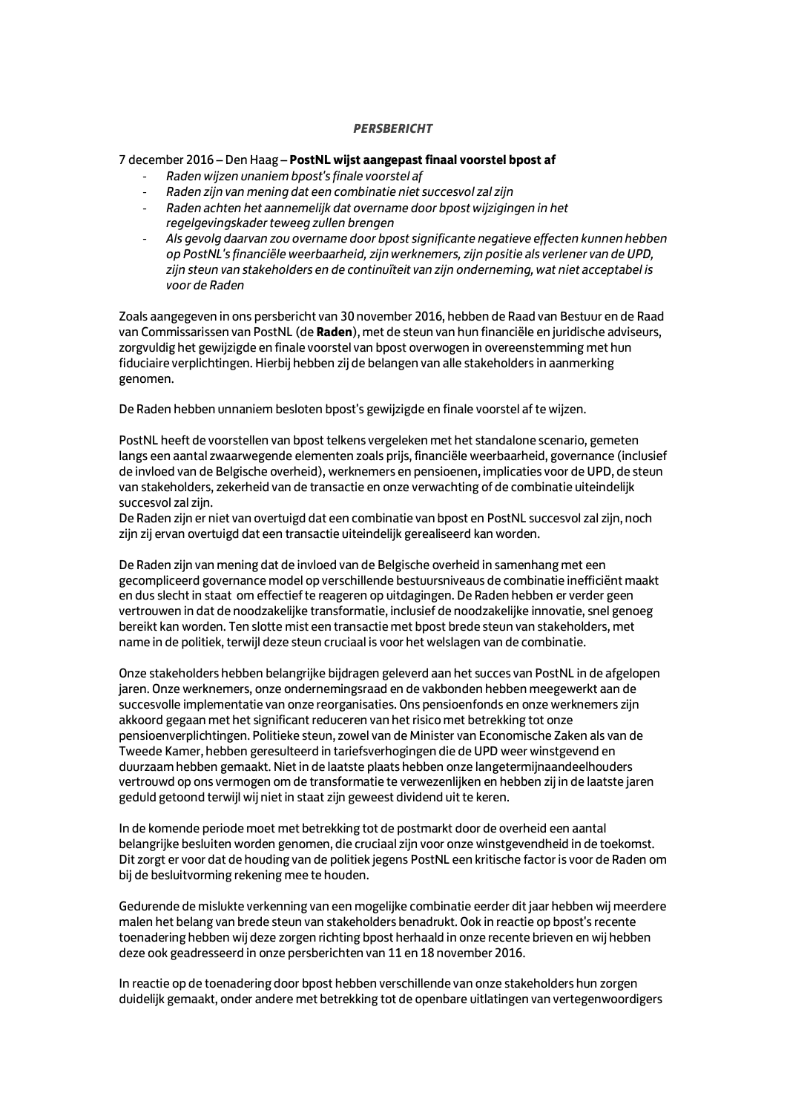## *PERSBERICHT*

### 7 december 2016 – Den Haag – **PostNL wijst aangepast finaal voorstel bpost af**

- *Raden wijzen unaniem bpost's finale voorstel af*
- *Raden zijn van mening dat een combinatie niet succesvol zal zijn*
- *Raden achten het aannemelijk dat overname door bpost wijzigingen in het regelgevingskader teweeg zullen brengen*
- *Als gevolg daarvan zou overname door bpost significante negatieve effecten kunnen hebben op PostNL's financiële weerbaarheid, zijn werknemers, zijn positie als verlener van de UPD, zijn steun van stakeholders en de continuïteit van zijn onderneming, wat niet acceptabel is voor de Raden*

Zoals aangegeven in ons persbericht van 30 november 2016, hebben de Raad van Bestuur en de Raad van Commissarissen van PostNL (de **Raden**), met de steun van hun financiële en juridische adviseurs, zorgvuldig het gewijzigde en finale voorstel van bpost overwogen in overeenstemming met hun fiduciaire verplichtingen. Hierbij hebben zij de belangen van alle stakeholders in aanmerking genomen.

De Raden hebben unnaniem besloten bpost's gewijzigde en finale voorstel af te wijzen.

PostNL heeft de voorstellen van bpost telkens vergeleken met het standalone scenario, gemeten langs een aantal zwaarwegende elementen zoals prijs, financiële weerbaarheid, governance (inclusief de invloed van de Belgische overheid), werknemers en pensioenen, implicaties voor de UPD, de steun van stakeholders, zekerheid van de transactie en onze verwachting of de combinatie uiteindelijk succesvol zal zijn.

De Raden zijn er niet van overtuigd dat een combinatie van bpost en PostNL succesvol zal zijn, noch zijn zij ervan overtuigd dat een transactie uiteindelijk gerealiseerd kan worden.

De Raden zijn van mening dat de invloed van de Belgische overheid in samenhang met een gecompliceerd governance model op verschillende bestuursniveaus de combinatie inefficiënt maakt en dus slecht in staat om effectief te reageren op uitdagingen. De Raden hebben er verder geen vertrouwen in dat de noodzakelijke transformatie, inclusief de noodzakelijke innovatie, snel genoeg bereikt kan worden. Ten slotte mist een transactie met bpost brede steun van stakeholders, met name in de politiek, terwijl deze steun cruciaal is voor het welslagen van de combinatie.

Onze stakeholders hebben belangrijke bijdragen geleverd aan het succes van PostNL in de afgelopen jaren. Onze werknemers, onze ondernemingsraad en de vakbonden hebben meegewerkt aan de succesvolle implementatie van onze reorganisaties. Ons pensioenfonds en onze werknemers zijn akkoord gegaan met het significant reduceren van het risico met betrekking tot onze pensioenverplichtingen. Politieke steun, zowel van de Minister van Economische Zaken als van de Tweede Kamer, hebben geresulteerd in tariefsverhogingen die de UPD weer winstgevend en duurzaam hebben gemaakt. Niet in de laatste plaats hebben onze langetermijnaandeelhouders vertrouwd op ons vermogen om de transformatie te verwezenlijken en hebben zij in de laatste jaren geduld getoond terwijl wij niet in staat zijn geweest dividend uit te keren.

In de komende periode moet met betrekking tot de postmarkt door de overheid een aantal belangrijke besluiten worden genomen, die cruciaal zijn voor onze winstgevendheid in de toekomst. Dit zorgt er voor dat de houding van de politiek jegens PostNL een kritische factor is voor de Raden om bij de besluitvorming rekening mee te houden.

Gedurende de mislukte verkenning van een mogelijke combinatie eerder dit jaar hebben wij meerdere malen het belang van brede steun van stakeholders benadrukt. Ook in reactie op bpost's recente toenadering hebben wij deze zorgen richting bpost herhaald in onze recente brieven en wij hebben deze ook geadresseerd in onze persberichten van 11 en 18 november 2016.

In reactie op de toenadering door bpost hebben verschillende van onze stakeholders hun zorgen duidelijk gemaakt, onder andere met betrekking tot de openbare uitlatingen van vertegenwoordigers